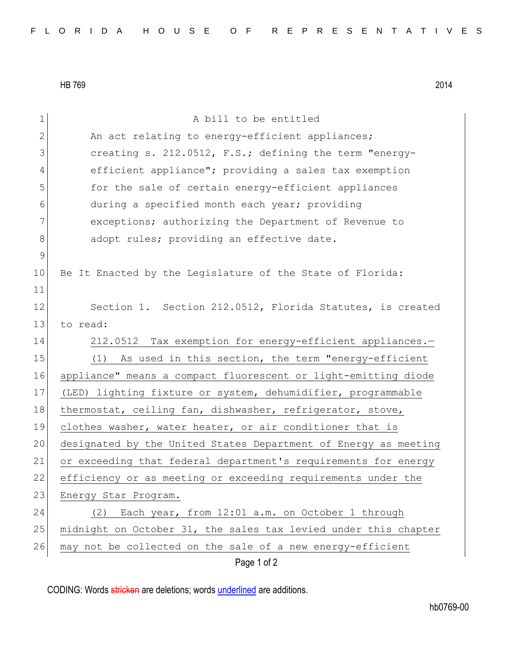HB 769 2014

| $\mathbf 1$  | A bill to be entitled                                           |
|--------------|-----------------------------------------------------------------|
| $\mathbf{2}$ | An act relating to energy-efficient appliances;                 |
| 3            | creating s. 212.0512, F.S.; defining the term "energy-          |
| 4            | efficient appliance"; providing a sales tax exemption           |
| 5            | for the sale of certain energy-efficient appliances             |
| 6            | during a specified month each year; providing                   |
| 7            | exceptions; authorizing the Department of Revenue to            |
| $8\,$        | adopt rules; providing an effective date.                       |
| 9            |                                                                 |
| 10           | Be It Enacted by the Legislature of the State of Florida:       |
| 11           |                                                                 |
| 12           | Section 1. Section 212.0512, Florida Statutes, is created       |
| 13           | to read:                                                        |
| 14           | 212.0512 Tax exemption for energy-efficient appliances.-        |
| 15           | As used in this section, the term "energy-efficient<br>(1)      |
| 16           | appliance" means a compact fluorescent or light-emitting diode  |
| 17           | (LED) lighting fixture or system, dehumidifier, programmable    |
| 18           | thermostat, ceiling fan, dishwasher, refrigerator, stove,       |
| 19           | clothes washer, water heater, or air conditioner that is        |
| 20           | designated by the United States Department of Energy as meeting |
| 21           | or exceeding that federal department's requirements for energy  |
| 22           | efficiency or as meeting or exceeding requirements under the    |
| 23           | Energy Star Program.                                            |
| 24           | Each year, from 12:01 a.m. on October 1 through<br>(2)          |
| 25           | midnight on October 31, the sales tax levied under this chapter |
| 26           | may not be collected on the sale of a new energy-efficient      |
|              | Page 1 of 2                                                     |

CODING: Words stricken are deletions; words underlined are additions.